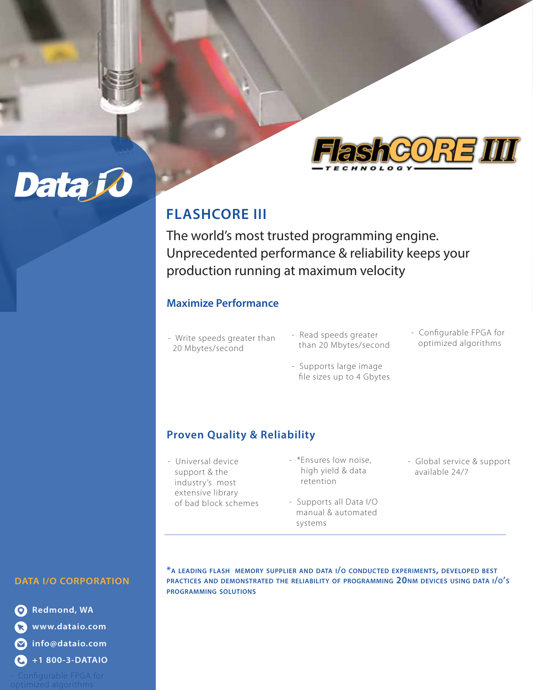

# **FLASHCORE III**

The world's most trusted programming engine. Unprecedented performance & reliability keeps your production running at maximum velocity

## **Maximize Performance**

- Write speeds greater than 20 Mbytes/second
- Read speeds greater than 20 Mbytes/second
- Configurable FPGA for optimized algorithms
- Supports large image file sizes up to 4 Gbytes

## **Proven Quality & Reliability**

- Universal device support & the industry's most extensive library of bad block schemes
- \*Ensures low noise, high yield & data retention
- Supports all Data I/O manual & automated systems
- Global service & support available 24/7

## **DATA I/O CORPORATION**

Data Jo

**Redmond, WA www.dataio.com info@dataio.com +1 800-3-DATAIO**

**\*A LEADING FLASH MEMORY SUPPLIER AND DATA I/O CONDUCTED EXPERIMENTS, DEVELOPED BEST PRACTICES AND DEMONSTRATED THE RELIABILITY OF PROGRAMMING 20NM DEVICES USING DATA I/O'S PROGRAMMING SOLUTIONS**